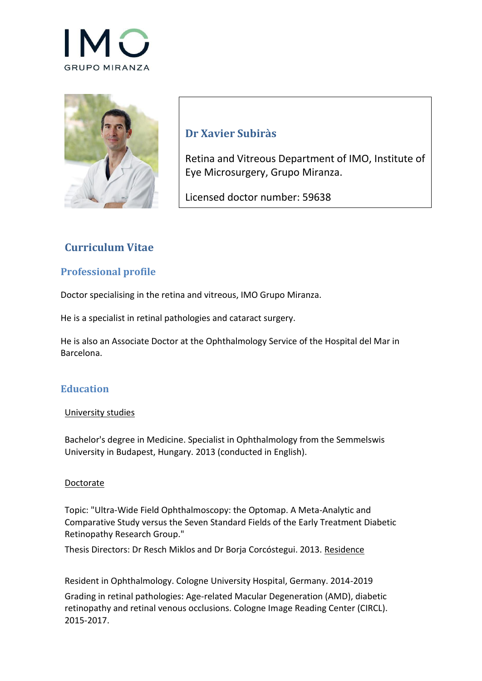



# **Dr Xavier Subiràs**

Retina and Vitreous Department of IMO, Institute of Eye Microsurgery, Grupo Miranza.

Licensed doctor number: 59638

# **Curriculum Vitae**

### **Professional profile**

Doctor specialising in the retina and vitreous, IMO Grupo Miranza.

He is a specialist in retinal pathologies and cataract surgery.

He is also an Associate Doctor at the Ophthalmology Service of the Hospital del Mar in Barcelona.

### **Education**

#### University studies

Bachelor's degree in Medicine. Specialist in Ophthalmology from the Semmelswis University in Budapest, Hungary. 2013 (conducted in English).

#### Doctorate

Topic: "Ultra-Wide Field Ophthalmoscopy: the Optomap. A Meta-Analytic and Comparative Study versus the Seven Standard Fields of the Early Treatment Diabetic Retinopathy Research Group."

Thesis Directors: Dr Resch Miklos and Dr Borja Corcóstegui. 2013. Residence

Resident in Ophthalmology. Cologne University Hospital, Germany. 2014-2019

Grading in retinal pathologies: Age-related Macular Degeneration (AMD), diabetic retinopathy and retinal venous occlusions. Cologne Image Reading Center (CIRCL). 2015-2017.